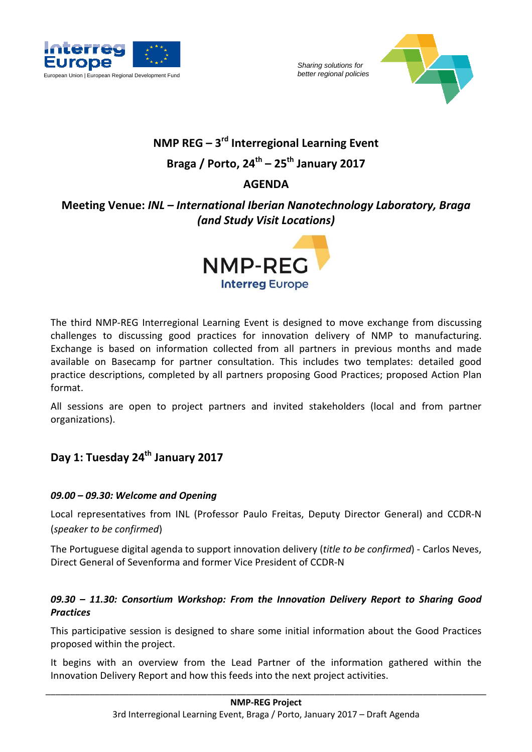



## **NMP REG – 3rd Interregional Learning Event Braga / Porto, 24th – 25th January 2017**

# **AGENDA**

## **Meeting Venue:** *INL – International Iberian Nanotechnology Laboratory, Braga (and Study Visit Locations)*



The third NMP-REG Interregional Learning Event is designed to move exchange from discussing challenges to discussing good practices for innovation delivery of NMP to manufacturing. Exchange is based on information collected from all partners in previous months and made available on Basecamp for partner consultation. This includes two templates: detailed good practice descriptions, completed by all partners proposing Good Practices; proposed Action Plan format.

All sessions are open to project partners and invited stakeholders (local and from partner organizations).

### **Day 1: Tuesday 24th January 2017**

#### *09.00 – 09.30: Welcome and Opening*

Local representatives from INL (Professor Paulo Freitas, Deputy Director General) and CCDR-N (*speaker to be confirmed*)

The Portuguese digital agenda to support innovation delivery (*title to be confirmed*) - Carlos Neves, Direct General of Sevenforma and former Vice President of CCDR-N

#### *09.30 – 11.30: Consortium Workshop: From the Innovation Delivery Report to Sharing Good Practices*

This participative session is designed to share some initial information about the Good Practices proposed within the project.

It begins with an overview from the Lead Partner of the information gathered within the Innovation Delivery Report and how this feeds into the next project activities.

 $\overline{\phantom{a}}$  , and the contribution of the contribution of the contribution of the contribution of the contribution of the contribution of the contribution of the contribution of the contribution of the contribution of the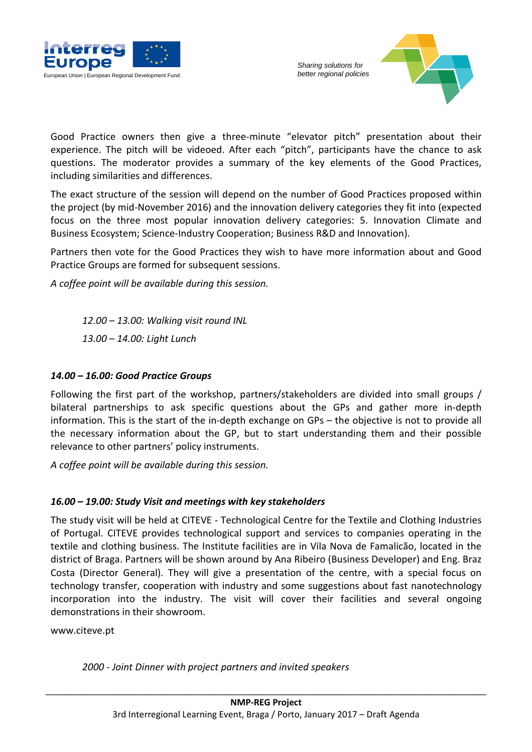



Good Practice owners then give a three-minute "elevator pitch" presentation about their experience. The pitch will be videoed. After each "pitch", participants have the chance to ask questions. The moderator provides a summary of the key elements of the Good Practices, including similarities and differences.

The exact structure of the session will depend on the number of Good Practices proposed within the project (by mid-November 2016) and the innovation delivery categories they fit into (expected focus on the three most popular innovation delivery categories: 5. Innovation Climate and Business Ecosystem; Science-Industry Cooperation; Business R&D and Innovation).

Partners then vote for the Good Practices they wish to have more information about and Good Practice Groups are formed for subsequent sessions.

*A coffee point will be available during this session.* 

*12.00 – 13.00: Walking visit round INL 13.00 – 14.00: Light Lunch* 

#### *14.00 – 16.00: Good Practice Groups*

Following the first part of the workshop, partners/stakeholders are divided into small groups / bilateral partnerships to ask specific questions about the GPs and gather more in-depth information. This is the start of the in-depth exchange on GPs – the objective is not to provide all the necessary information about the GP, but to start understanding them and their possible relevance to other partners' policy instruments.

*A coffee point will be available during this session.* 

#### *16.00 – 19.00: Study Visit and meetings with key stakeholders*

The study visit will be held at CITEVE - Technological Centre for the Textile and Clothing Industries of Portugal. CITEVE provides technological support and services to companies operating in the textile and clothing business. The Institute facilities are in Vila Nova de Famalicão, located in the district of Braga. Partners will be shown around by Ana Ribeiro (Business Developer) and Eng. Braz Costa (Director General). They will give a presentation of the centre, with a special focus on technology transfer, cooperation with industry and some suggestions about fast nanotechnology incorporation into the industry. The visit will cover their facilities and several ongoing demonstrations in their showroom.

www.citeve.pt

*2000 - Joint Dinner with project partners and invited speakers*

 $\overline{\phantom{a}}$  , and the contribution of the contribution of the contribution of the contribution of the contribution of the contribution of the contribution of the contribution of the contribution of the contribution of the